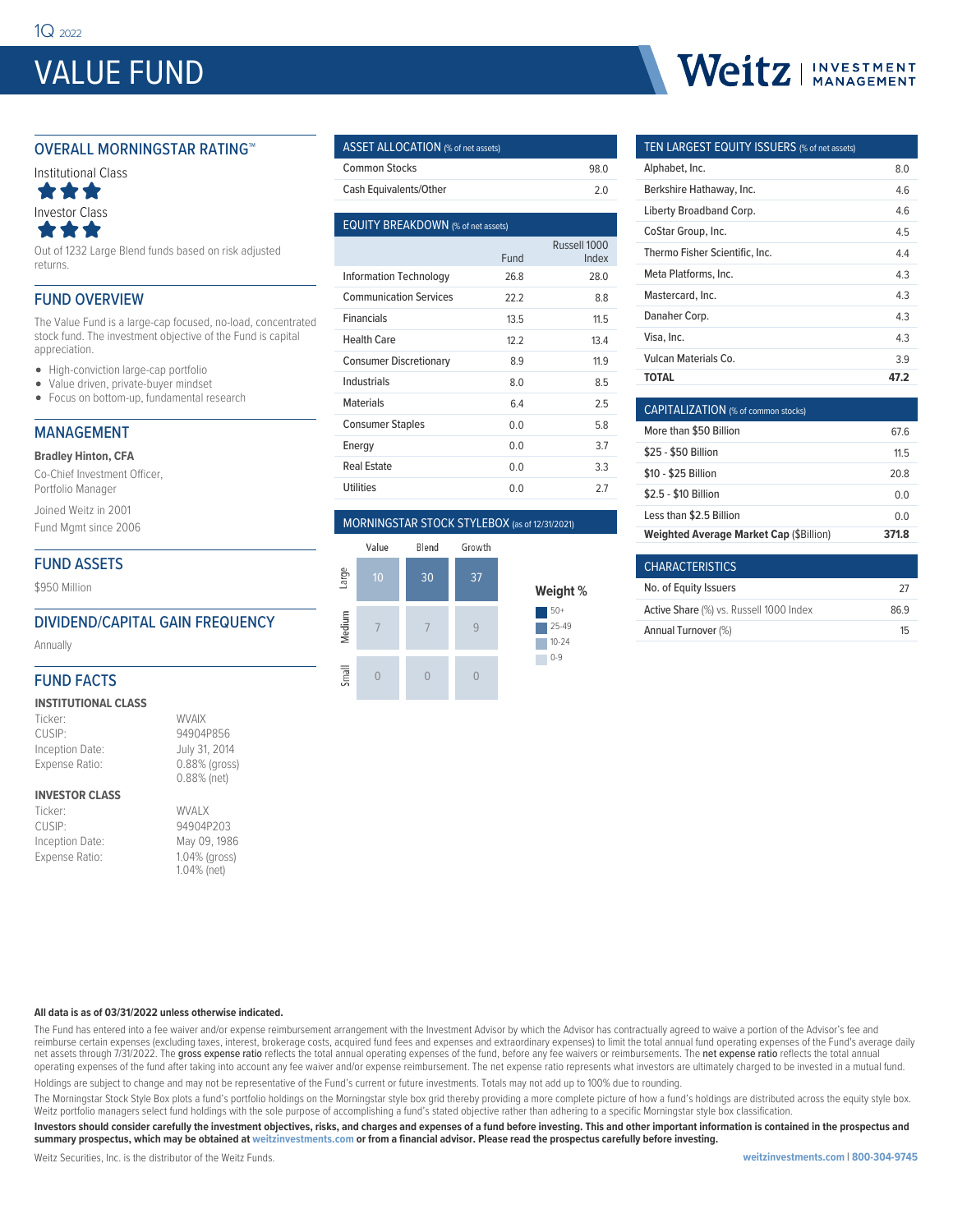# VALUE FUND

#### OVERALL MORNINGSTAR RATING™



Out of 1232 Large Blend funds based on risk adjusted returns.

#### FUND OVERVIEW

The Value Fund is a large-cap focused, no-load, concentrated stock fund. The investment objective of the Fund is capital appreciation.

- High-conviction large-cap portfolio
- Value driven, private-buyer mindset
- Focus on bottom-up, fundamental research

#### MANAGEMENT

**Bradley Hinton, CFA**

Co-Chief Investment Officer, Portfolio Manager

Joined Weitz in 2001

Fund Mgmt since 2006

#### FUND ASSETS

\$950 Million

#### DIVIDEND/CAPITAL GAIN FREQUENCY

Annually

#### FUND FACTS

#### **INSTITUTIONAL CLASS**

| Ticker:         | <b>WVAIX</b>  |
|-----------------|---------------|
| CUSIP:          | 94904P856     |
| Inception Date: | July 31, 2014 |
| Expense Ratio:  | 0.88% (gross) |
|                 | 0.88% (net)   |

#### **INVESTOR CLASS**

| Ticker:         | <b>WVALX</b>  |
|-----------------|---------------|
| CUSIP:          | 94904P203     |
| Inception Date: | May 09, 1986  |
| Expense Ratio:  | 1.04% (gross) |
|                 | 1.04% (net)   |

#### ASSET ALLOCATION (% of net assets) Common Stocks 98.0

Cash Equivalents/Other 2.0

| <b>EQUITY BREAKDOWN</b> (% of net assets) |      |                       |  |  |  |  |  |
|-------------------------------------------|------|-----------------------|--|--|--|--|--|
|                                           | Fund | Russell 1000<br>Index |  |  |  |  |  |
| Information Technology                    | 26.8 | 28.0                  |  |  |  |  |  |
| <b>Communication Services</b>             | 22.2 | 8.8                   |  |  |  |  |  |
| <b>Financials</b>                         | 13.5 | 11.5                  |  |  |  |  |  |
| Health Care                               | 12.2 | 13.4                  |  |  |  |  |  |
| <b>Consumer Discretionary</b>             | 8.9  | 11.9                  |  |  |  |  |  |
| Industrials                               | 8.0  | 8.5                   |  |  |  |  |  |
| <b>Materials</b>                          | 6.4  | 2.5                   |  |  |  |  |  |
| <b>Consumer Staples</b>                   | 0.0  | 58                    |  |  |  |  |  |
| Energy                                    | 0.0  | 3.7                   |  |  |  |  |  |
| <b>Real Estate</b>                        | 0.0  | 3.3                   |  |  |  |  |  |
| <b>Utilities</b>                          | 0.0  | 27                    |  |  |  |  |  |
|                                           |      |                       |  |  |  |  |  |

#### MORNINGSTAR STOCK STYLEBOX (as of 12/31/2021)



# Weitz | INVESTMENT

#### TEN LARGEST EQUITY ISSUERS (% of net assets)

| Alphabet, Inc.                 | 8.0  |
|--------------------------------|------|
| Berkshire Hathaway, Inc.       | 46   |
| Liberty Broadband Corp.        | 4.6  |
| CoStar Group, Inc.             | 45   |
| Thermo Fisher Scientific, Inc. | 4.4  |
| Meta Platforms, Inc.           | 43   |
| Mastercard, Inc.               | 43   |
| Danaher Corp.                  | 43   |
| Visa, Inc.                     | 43   |
| Vulcan Materials Co.           | 39   |
| ΤΟΤΑL                          | 47.2 |

| <b>CAPITALIZATION</b> (% of common stocks)     |       |
|------------------------------------------------|-------|
| More than \$50 Billion                         | 67 6  |
| \$25 - \$50 Billion                            | 115   |
| \$10 - \$25 Billion                            | 20.8  |
| \$2.5 - \$10 Billion                           | 0 Q   |
| Less than \$2.5 Billion                        | 0 Q   |
| <b>Weighted Average Market Cap (\$Billion)</b> | 371.8 |

| <b>CHARACTERISTICS</b>                  |     |
|-----------------------------------------|-----|
| No. of Equity Issuers                   | -27 |
| Active Share (%) vs. Russell 1000 Index | 869 |
| Annual Turnover (%)                     | 1հ  |

#### **All data is as of 03/31/2022 unless otherwise indicated.**

The Fund has entered into a fee waiver and/or expense reimbursement arrangement with the Investment Advisor by which the Advisor has contractually agreed to waive a portion of the Advisor's fee and reimburse certain expenses (excluding taxes, interest, brokerage costs, acquired fund fees and expenses and extraordinary expenses) to limit the total annual fund operating expenses of the Fund's average daily net assets through 7/31/2022. The gross expense ratio reflects the total annual operating expenses of the fund, before any fee waivers or reimbursements. The net expense ratio reflects the total annual operating expenses of the fund after taking into account any fee waiver and/or expense reimbursement. The net expense ratio represents what investors are ultimately charged to be invested in a mutual fund.

Holdings are subject to change and may not be representative of the Fund's current or future investments. Totals may not add up to 100% due to rounding.

The Morningstar Stock Style Box plots a fund's portfolio holdings on the Morningstar style box grid thereby providing a more complete picture of how a fund's holdings are distributed across the equity style box. Weitz portfolio managers select fund holdings with the sole purpose of accomplishing a fund's stated objective rather than adhering to a specific Morningstar style box classification.

**Investors should consider carefully the investment objectives, risks, and charges and expenses of a fund before investing. This and other important information is contained in the prospectus and summary prospectus, which may be obtained at weitzinvestments.com or from a financial advisor. Please read the prospectus carefully before investing.**